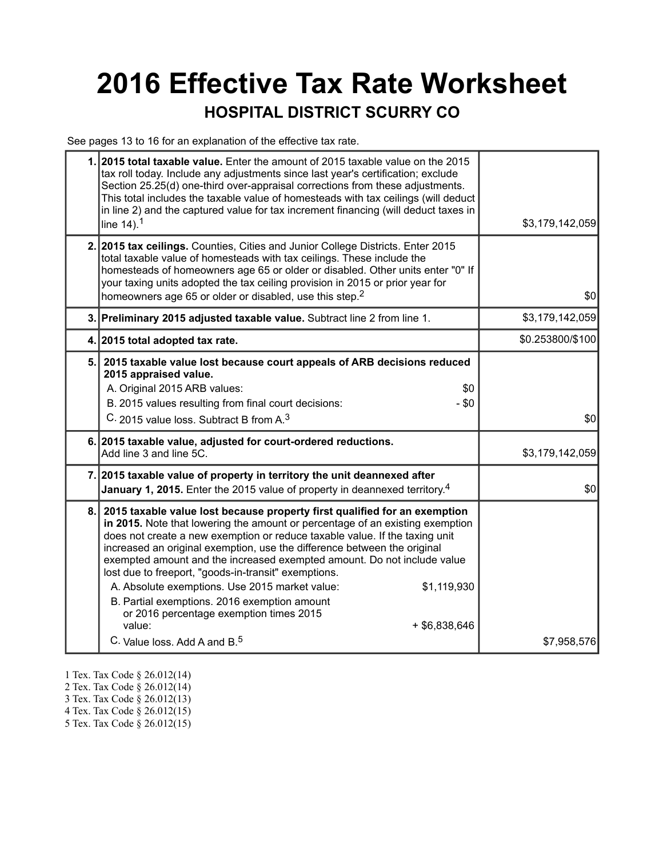## **2016 Effective Tax Rate Worksheet HOSPITAL DISTRICT SCURRY CO**

See pages 13 to 16 for an explanation of the effective tax rate.

|    | 1. 2015 total taxable value. Enter the amount of 2015 taxable value on the 2015<br>tax roll today. Include any adjustments since last year's certification; exclude<br>Section 25.25(d) one-third over-appraisal corrections from these adjustments.<br>This total includes the taxable value of homesteads with tax ceilings (will deduct<br>in line 2) and the captured value for tax increment financing (will deduct taxes in<br>line $14$ ). <sup>1</sup>                                                                                                                                                                                                                                | \$3,179,142,059  |
|----|-----------------------------------------------------------------------------------------------------------------------------------------------------------------------------------------------------------------------------------------------------------------------------------------------------------------------------------------------------------------------------------------------------------------------------------------------------------------------------------------------------------------------------------------------------------------------------------------------------------------------------------------------------------------------------------------------|------------------|
|    | 2. 2015 tax ceilings. Counties, Cities and Junior College Districts. Enter 2015<br>total taxable value of homesteads with tax ceilings. These include the<br>homesteads of homeowners age 65 or older or disabled. Other units enter "0" If<br>your taxing units adopted the tax ceiling provision in 2015 or prior year for<br>homeowners age 65 or older or disabled, use this step. <sup>2</sup>                                                                                                                                                                                                                                                                                           | \$0              |
|    | 3. Preliminary 2015 adjusted taxable value. Subtract line 2 from line 1.                                                                                                                                                                                                                                                                                                                                                                                                                                                                                                                                                                                                                      | \$3,179,142,059  |
|    | 4. 2015 total adopted tax rate.                                                                                                                                                                                                                                                                                                                                                                                                                                                                                                                                                                                                                                                               | \$0.253800/\$100 |
| 5. | 2015 taxable value lost because court appeals of ARB decisions reduced<br>2015 appraised value.<br>A. Original 2015 ARB values:<br>\$0<br>B. 2015 values resulting from final court decisions:<br>$-$ \$0<br>C. 2015 value loss. Subtract B from A. <sup>3</sup>                                                                                                                                                                                                                                                                                                                                                                                                                              | \$0              |
|    | 6. 2015 taxable value, adjusted for court-ordered reductions.<br>Add line 3 and line 5C.                                                                                                                                                                                                                                                                                                                                                                                                                                                                                                                                                                                                      | \$3,179,142,059  |
|    | 7. 2015 taxable value of property in territory the unit deannexed after<br>January 1, 2015. Enter the 2015 value of property in deannexed territory. <sup>4</sup>                                                                                                                                                                                                                                                                                                                                                                                                                                                                                                                             | \$0              |
| 8. | 2015 taxable value lost because property first qualified for an exemption<br>in 2015. Note that lowering the amount or percentage of an existing exemption<br>does not create a new exemption or reduce taxable value. If the taxing unit<br>increased an original exemption, use the difference between the original<br>exempted amount and the increased exempted amount. Do not include value<br>lost due to freeport, "goods-in-transit" exemptions.<br>A. Absolute exemptions. Use 2015 market value:<br>\$1,119,930<br>B. Partial exemptions. 2016 exemption amount<br>or 2016 percentage exemption times 2015<br>value:<br>$+$ \$6,838,646<br>C. Value loss. Add A and B. <sup>5</sup> | \$7,958,576      |

- 1 Tex. Tax Code § 26.012(14)
- 2 Tex. Tax Code § 26.012(14)
- 3 Tex. Tax Code § 26.012(13)
- 4 Tex. Tax Code § 26.012(15)
- 5 Tex. Tax Code § 26.012(15)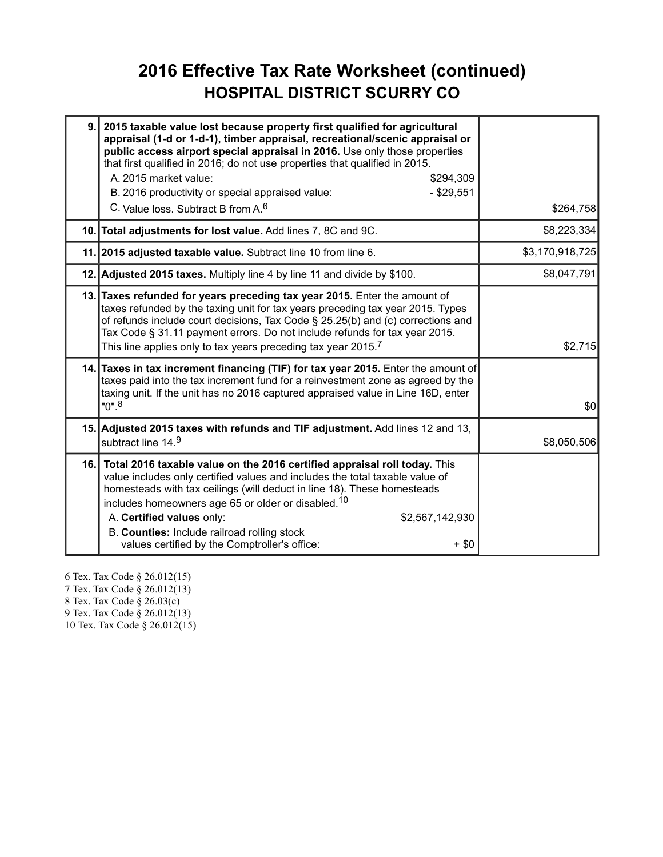### **2016 Effective Tax Rate Worksheet (continued) HOSPITAL DISTRICT SCURRY CO**

| 9. | 2015 taxable value lost because property first qualified for agricultural<br>appraisal (1-d or 1-d-1), timber appraisal, recreational/scenic appraisal or<br>public access airport special appraisal in 2016. Use only those properties<br>that first qualified in 2016; do not use properties that qualified in 2015.<br>A. 2015 market value:<br>\$294,309<br>$-$ \$29,551<br>B. 2016 productivity or special appraised value:<br>C. Value loss. Subtract B from A. <sup>6</sup> | \$264,758       |
|----|------------------------------------------------------------------------------------------------------------------------------------------------------------------------------------------------------------------------------------------------------------------------------------------------------------------------------------------------------------------------------------------------------------------------------------------------------------------------------------|-----------------|
|    | 10. Total adjustments for lost value. Add lines 7, 8C and 9C.                                                                                                                                                                                                                                                                                                                                                                                                                      | \$8,223,334     |
|    | 11. 2015 adjusted taxable value. Subtract line 10 from line 6.                                                                                                                                                                                                                                                                                                                                                                                                                     | \$3,170,918,725 |
|    | 12. Adjusted 2015 taxes. Multiply line 4 by line 11 and divide by \$100.                                                                                                                                                                                                                                                                                                                                                                                                           | \$8,047,791     |
|    | 13. Taxes refunded for years preceding tax year 2015. Enter the amount of<br>taxes refunded by the taxing unit for tax years preceding tax year 2015. Types<br>of refunds include court decisions, Tax Code § 25.25(b) and (c) corrections and<br>Tax Code § 31.11 payment errors. Do not include refunds for tax year 2015.<br>This line applies only to tax years preceding tax year 2015. <sup>7</sup>                                                                          | \$2,715         |
|    | 14. Taxes in tax increment financing (TIF) for tax year 2015. Enter the amount of<br>taxes paid into the tax increment fund for a reinvestment zone as agreed by the<br>taxing unit. If the unit has no 2016 captured appraised value in Line 16D, enter<br>$"0"$ . <sup>8</sup>                                                                                                                                                                                                   | \$0             |
|    | 15. Adjusted 2015 taxes with refunds and TIF adjustment. Add lines 12 and 13,<br>subtract line 14.9                                                                                                                                                                                                                                                                                                                                                                                | \$8,050,506     |
|    | 16. Total 2016 taxable value on the 2016 certified appraisal roll today. This<br>value includes only certified values and includes the total taxable value of<br>homesteads with tax ceilings (will deduct in line 18). These homesteads<br>includes homeowners age 65 or older or disabled. <sup>10</sup><br>A. Certified values only:<br>\$2,567,142,930<br>B. Counties: Include railroad rolling stock<br>values certified by the Comptroller's office:<br>$+$ \$0              |                 |

6 Tex. Tax Code § 26.012(15) 7 Tex. Tax Code § 26.012(13) 8 Tex. Tax Code § 26.03(c) 9 Tex. Tax Code § 26.012(13) 10 Tex. Tax Code § 26.012(15)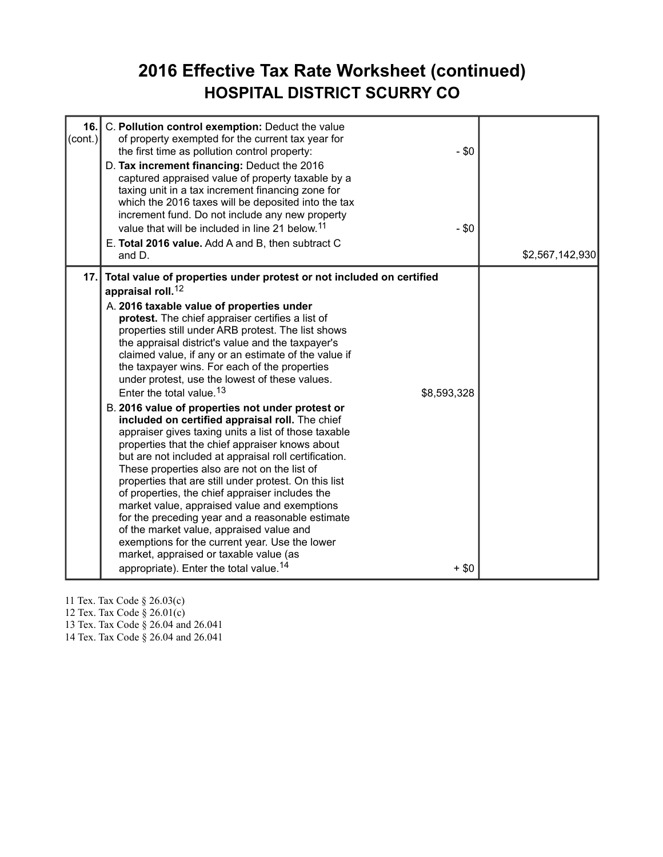#### **2016 Effective Tax Rate Worksheet (continued) HOSPITAL DISTRICT SCURRY CO**

| 16.<br>$\text{(cont.)}$ | C. Pollution control exemption: Deduct the value<br>of property exempted for the current tax year for<br>$-$ \$0<br>the first time as pollution control property:<br>D. Tax increment financing: Deduct the 2016<br>captured appraised value of property taxable by a<br>taxing unit in a tax increment financing zone for<br>which the 2016 taxes will be deposited into the tax<br>increment fund. Do not include any new property<br>value that will be included in line 21 below. <sup>11</sup><br>$- $0$<br>E. Total 2016 value. Add A and B, then subtract C<br>and D.                                                                                                                                                                                                                                                                                                                                                                                                                                                                                                                                                                                                                                                                                                            | \$2,567,142,930 |
|-------------------------|-----------------------------------------------------------------------------------------------------------------------------------------------------------------------------------------------------------------------------------------------------------------------------------------------------------------------------------------------------------------------------------------------------------------------------------------------------------------------------------------------------------------------------------------------------------------------------------------------------------------------------------------------------------------------------------------------------------------------------------------------------------------------------------------------------------------------------------------------------------------------------------------------------------------------------------------------------------------------------------------------------------------------------------------------------------------------------------------------------------------------------------------------------------------------------------------------------------------------------------------------------------------------------------------|-----------------|
| 17.                     | Total value of properties under protest or not included on certified<br>appraisal roll. <sup>12</sup><br>A. 2016 taxable value of properties under<br>protest. The chief appraiser certifies a list of<br>properties still under ARB protest. The list shows<br>the appraisal district's value and the taxpayer's<br>claimed value, if any or an estimate of the value if<br>the taxpayer wins. For each of the properties<br>under protest, use the lowest of these values.<br>Enter the total value. <sup>13</sup><br>\$8,593,328<br>B. 2016 value of properties not under protest or<br>included on certified appraisal roll. The chief<br>appraiser gives taxing units a list of those taxable<br>properties that the chief appraiser knows about<br>but are not included at appraisal roll certification.<br>These properties also are not on the list of<br>properties that are still under protest. On this list<br>of properties, the chief appraiser includes the<br>market value, appraised value and exemptions<br>for the preceding year and a reasonable estimate<br>of the market value, appraised value and<br>exemptions for the current year. Use the lower<br>market, appraised or taxable value (as<br>appropriate). Enter the total value. <sup>14</sup><br>$+$ \$0 |                 |

11 Tex. Tax Code § 26.03(c)

12 Tex. Tax Code § 26.01(c)

13 Tex. Tax Code § 26.04 and 26.041

14 Tex. Tax Code § 26.04 and 26.041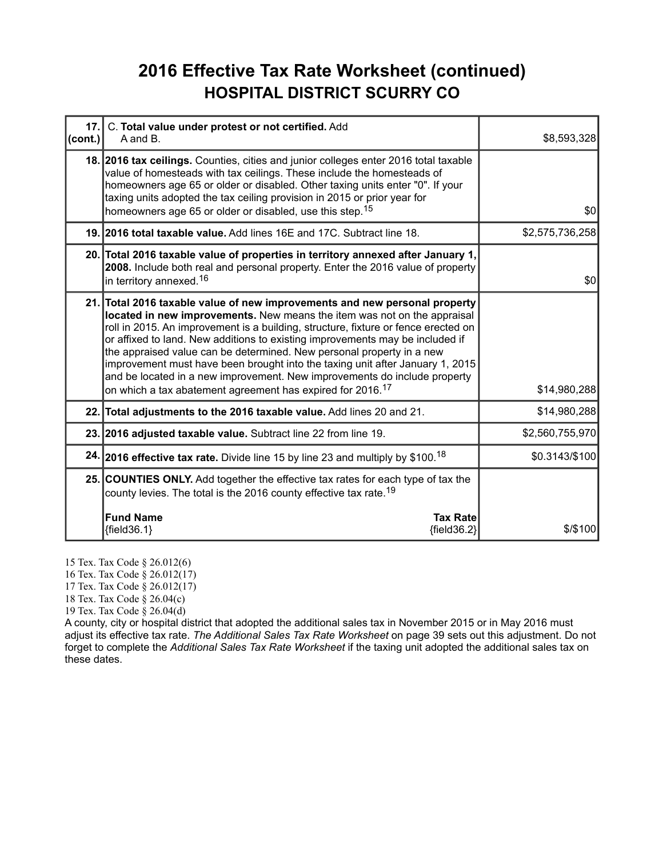### **2016 Effective Tax Rate Worksheet (continued) HOSPITAL DISTRICT SCURRY CO**

| 17.<br>(cont.) | C. Total value under protest or not certified. Add<br>A and B.                                                                                                                                                                                                                                                                                                                                                                                                                                                                                                                                                                                 | \$8,593,328     |
|----------------|------------------------------------------------------------------------------------------------------------------------------------------------------------------------------------------------------------------------------------------------------------------------------------------------------------------------------------------------------------------------------------------------------------------------------------------------------------------------------------------------------------------------------------------------------------------------------------------------------------------------------------------------|-----------------|
|                | 18. 2016 tax ceilings. Counties, cities and junior colleges enter 2016 total taxable<br>value of homesteads with tax ceilings. These include the homesteads of<br>homeowners age 65 or older or disabled. Other taxing units enter "0". If your<br>taxing units adopted the tax ceiling provision in 2015 or prior year for<br>homeowners age 65 or older or disabled, use this step. <sup>15</sup>                                                                                                                                                                                                                                            | \$0             |
|                | 19. 2016 total taxable value. Add lines 16E and 17C. Subtract line 18.                                                                                                                                                                                                                                                                                                                                                                                                                                                                                                                                                                         | \$2,575,736,258 |
|                | 20. Total 2016 taxable value of properties in territory annexed after January 1,<br>2008. Include both real and personal property. Enter the 2016 value of property<br>in territory annexed. <sup>16</sup>                                                                                                                                                                                                                                                                                                                                                                                                                                     | \$0             |
|                | 21. Total 2016 taxable value of new improvements and new personal property<br>located in new improvements. New means the item was not on the appraisal<br>roll in 2015. An improvement is a building, structure, fixture or fence erected on<br>or affixed to land. New additions to existing improvements may be included if<br>the appraised value can be determined. New personal property in a new<br>improvement must have been brought into the taxing unit after January 1, 2015<br>and be located in a new improvement. New improvements do include property<br>on which a tax abatement agreement has expired for 2016. <sup>17</sup> | \$14,980,288    |
|                | 22. Total adjustments to the 2016 taxable value. Add lines 20 and 21.                                                                                                                                                                                                                                                                                                                                                                                                                                                                                                                                                                          | \$14,980,288    |
|                | 23. 2016 adjusted taxable value. Subtract line 22 from line 19.                                                                                                                                                                                                                                                                                                                                                                                                                                                                                                                                                                                | \$2,560,755,970 |
|                | 24. 2016 effective tax rate. Divide line 15 by line 23 and multiply by \$100. <sup>18</sup>                                                                                                                                                                                                                                                                                                                                                                                                                                                                                                                                                    | \$0.3143/\$100  |
|                | 25. COUNTIES ONLY. Add together the effective tax rates for each type of tax the<br>county levies. The total is the 2016 county effective tax rate. <sup>19</sup>                                                                                                                                                                                                                                                                                                                                                                                                                                                                              |                 |
|                | <b>Fund Name</b><br><b>Tax Rate</b><br>${field36.1}$<br>${field36.2}$                                                                                                                                                                                                                                                                                                                                                                                                                                                                                                                                                                          | $$$ /\$100      |

15 Tex. Tax Code § 26.012(6)

16 Tex. Tax Code § 26.012(17)

17 Tex. Tax Code § 26.012(17)

18 Tex. Tax Code § 26.04(c)

19 Tex. Tax Code § 26.04(d)

A county, city or hospital district that adopted the additional sales tax in November 2015 or in May 2016 must adjust its effective tax rate. *The Additional Sales Tax Rate Worksheet* on page 39 sets out this adjustment. Do not forget to complete the *Additional Sales Tax Rate Worksheet* if the taxing unit adopted the additional sales tax on these dates.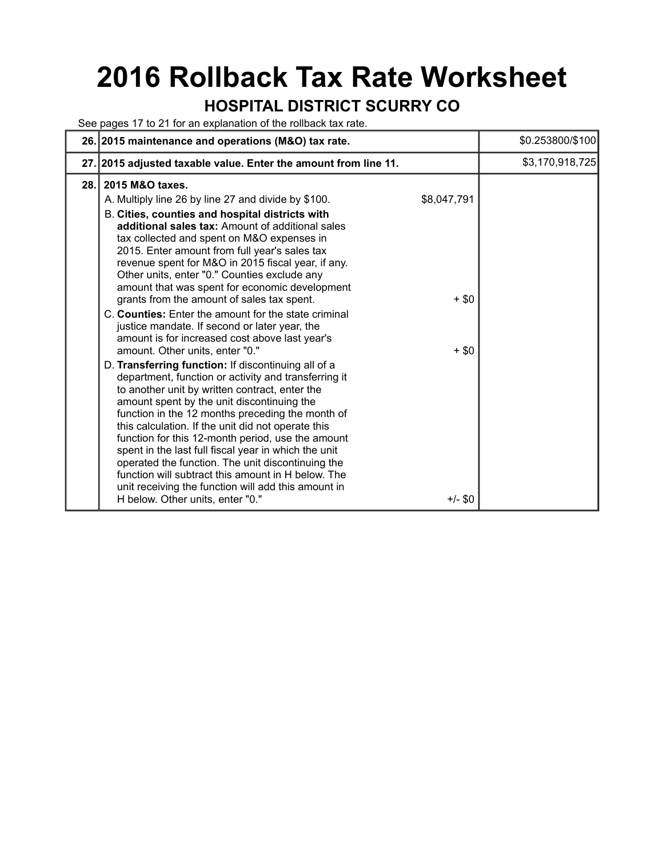# **2016 Rollback Tax Rate Worksheet**

### **HOSPITAL DISTRICT SCURRY CO**

See pages 17 to 21 for an explanation of the rollback tax rate.

|     | 26. 2015 maintenance and operations (M&O) tax rate.                                                                                                                                                                                                                                                                                                                                                                                                                                                                                                                                                                                                                                                                                                                                                                                    |                        | \$0.253800/\$100 |
|-----|----------------------------------------------------------------------------------------------------------------------------------------------------------------------------------------------------------------------------------------------------------------------------------------------------------------------------------------------------------------------------------------------------------------------------------------------------------------------------------------------------------------------------------------------------------------------------------------------------------------------------------------------------------------------------------------------------------------------------------------------------------------------------------------------------------------------------------------|------------------------|------------------|
|     | 27. 2015 adjusted taxable value. Enter the amount from line 11.                                                                                                                                                                                                                                                                                                                                                                                                                                                                                                                                                                                                                                                                                                                                                                        |                        | \$3,170,918,725  |
| 28. | 2015 M&O taxes.<br>A. Multiply line 26 by line 27 and divide by \$100.<br>B. Cities, counties and hospital districts with<br>additional sales tax: Amount of additional sales<br>tax collected and spent on M&O expenses in<br>2015. Enter amount from full year's sales tax<br>revenue spent for M&O in 2015 fiscal year, if any.<br>Other units, enter "0." Counties exclude any<br>amount that was spent for economic development<br>grants from the amount of sales tax spent.                                                                                                                                                                                                                                                                                                                                                     | \$8,047,791<br>$+$ \$0 |                  |
|     | C. Counties: Enter the amount for the state criminal<br>justice mandate. If second or later year, the<br>amount is for increased cost above last year's<br>amount. Other units, enter "0."<br>D. Transferring function: If discontinuing all of a<br>department, function or activity and transferring it<br>to another unit by written contract, enter the<br>amount spent by the unit discontinuing the<br>function in the 12 months preceding the month of<br>this calculation. If the unit did not operate this<br>function for this 12-month period, use the amount<br>spent in the last full fiscal year in which the unit<br>operated the function. The unit discontinuing the<br>function will subtract this amount in H below. The<br>unit receiving the function will add this amount in<br>H below. Other units, enter "0." | $+$ \$0<br>+/- \$0     |                  |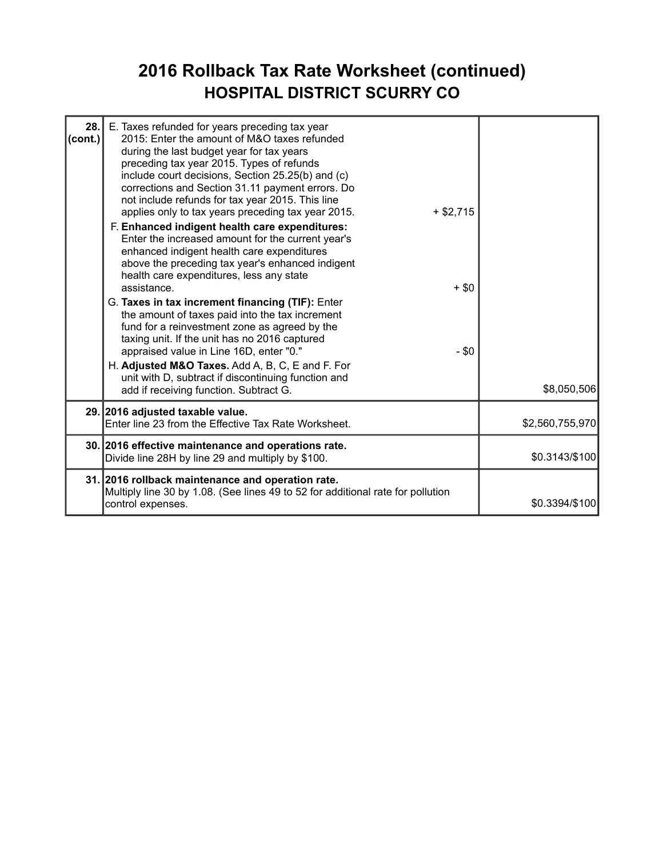### **2016 Rollback Tax Rate Worksheet (continued) HOSPITAL DISTRICT SCURRY CO**

| 28.<br>(cont.) | E. Taxes refunded for years preceding tax year<br>2015: Enter the amount of M&O taxes refunded<br>during the last budget year for tax years<br>preceding tax year 2015. Types of refunds<br>include court decisions, Section 25.25(b) and (c)<br>corrections and Section 31.11 payment errors. Do<br>not include refunds for tax year 2015. This line<br>applies only to tax years preceding tax year 2015.<br>$+ $2,715$<br>F. Enhanced indigent health care expenditures:<br>Enter the increased amount for the current year's<br>enhanced indigent health care expenditures<br>above the preceding tax year's enhanced indigent<br>health care expenditures, less any state<br>assistance.<br>G. Taxes in tax increment financing (TIF): Enter<br>the amount of taxes paid into the tax increment<br>fund for a reinvestment zone as agreed by the<br>taxing unit. If the unit has no 2016 captured<br>appraised value in Line 16D, enter "0."<br>H. Adjusted M&O Taxes. Add A, B, C, E and F. For<br>unit with D, subtract if discontinuing function and | $+$ \$0<br>$- $0$ |                 |
|----------------|--------------------------------------------------------------------------------------------------------------------------------------------------------------------------------------------------------------------------------------------------------------------------------------------------------------------------------------------------------------------------------------------------------------------------------------------------------------------------------------------------------------------------------------------------------------------------------------------------------------------------------------------------------------------------------------------------------------------------------------------------------------------------------------------------------------------------------------------------------------------------------------------------------------------------------------------------------------------------------------------------------------------------------------------------------------|-------------------|-----------------|
|                | add if receiving function. Subtract G.                                                                                                                                                                                                                                                                                                                                                                                                                                                                                                                                                                                                                                                                                                                                                                                                                                                                                                                                                                                                                       |                   | \$8,050,506     |
|                | 29. 2016 adjusted taxable value.<br>Enter line 23 from the Effective Tax Rate Worksheet.                                                                                                                                                                                                                                                                                                                                                                                                                                                                                                                                                                                                                                                                                                                                                                                                                                                                                                                                                                     |                   | \$2,560,755,970 |
|                | 30. 2016 effective maintenance and operations rate.<br>Divide line 28H by line 29 and multiply by \$100.                                                                                                                                                                                                                                                                                                                                                                                                                                                                                                                                                                                                                                                                                                                                                                                                                                                                                                                                                     |                   | \$0.3143/\$100  |
|                | 31. 2016 rollback maintenance and operation rate.<br>Multiply line 30 by 1.08. (See lines 49 to 52 for additional rate for pollution<br>control expenses.                                                                                                                                                                                                                                                                                                                                                                                                                                                                                                                                                                                                                                                                                                                                                                                                                                                                                                    |                   | \$0.3394/\$100  |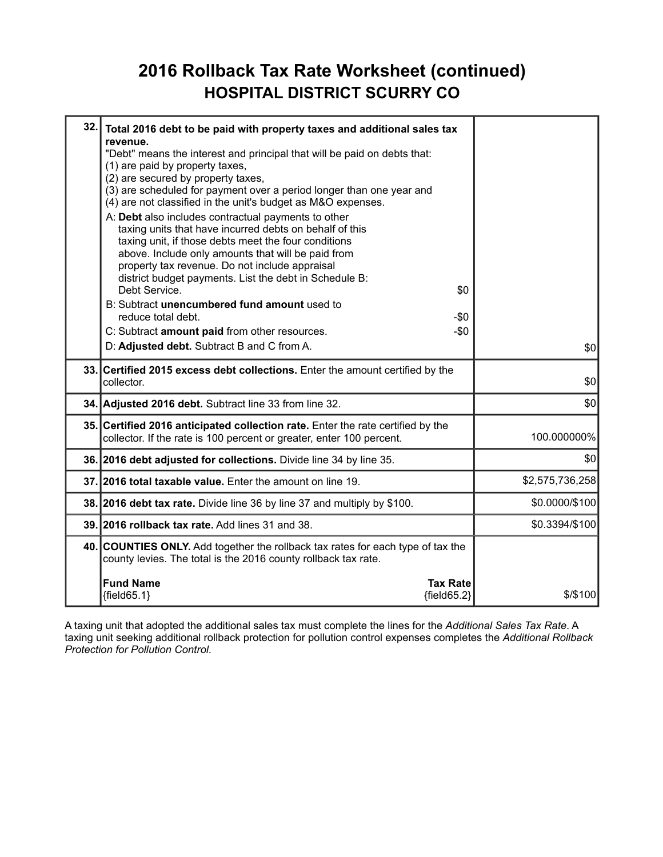#### **2016 Rollback Tax Rate Worksheet (continued) HOSPITAL DISTRICT SCURRY CO**

| 32.1 | Total 2016 debt to be paid with property taxes and additional sales tax<br>revenue.                                                                                                                                                                                                                                                                              |                 |
|------|------------------------------------------------------------------------------------------------------------------------------------------------------------------------------------------------------------------------------------------------------------------------------------------------------------------------------------------------------------------|-----------------|
|      | "Debt" means the interest and principal that will be paid on debts that:<br>(1) are paid by property taxes,<br>(2) are secured by property taxes,<br>(3) are scheduled for payment over a period longer than one year and<br>(4) are not classified in the unit's budget as M&O expenses.                                                                        |                 |
|      | A: Debt also includes contractual payments to other<br>taxing units that have incurred debts on behalf of this<br>taxing unit, if those debts meet the four conditions<br>above. Include only amounts that will be paid from<br>property tax revenue. Do not include appraisal<br>district budget payments. List the debt in Schedule B:<br>Debt Service.<br>\$0 |                 |
|      | B: Subtract unencumbered fund amount used to<br>reduce total debt.<br>-\$0                                                                                                                                                                                                                                                                                       |                 |
|      | C: Subtract amount paid from other resources.<br>$-\$0$                                                                                                                                                                                                                                                                                                          |                 |
|      | D: Adjusted debt. Subtract B and C from A.                                                                                                                                                                                                                                                                                                                       | \$0             |
|      | 33. Certified 2015 excess debt collections. Enter the amount certified by the<br>collector.                                                                                                                                                                                                                                                                      | \$0             |
|      | 34. Adjusted 2016 debt. Subtract line 33 from line 32.                                                                                                                                                                                                                                                                                                           | \$0             |
|      | 35. Certified 2016 anticipated collection rate. Enter the rate certified by the<br>collector. If the rate is 100 percent or greater, enter 100 percent.                                                                                                                                                                                                          | 100.000000%     |
|      | 36. 2016 debt adjusted for collections. Divide line 34 by line 35.                                                                                                                                                                                                                                                                                               | \$0             |
|      | 37. 2016 total taxable value. Enter the amount on line 19.                                                                                                                                                                                                                                                                                                       | \$2,575,736,258 |
|      | 38. 2016 debt tax rate. Divide line 36 by line 37 and multiply by \$100.                                                                                                                                                                                                                                                                                         | \$0.0000/\$100  |
|      | 39. 2016 rollback tax rate. Add lines 31 and 38.                                                                                                                                                                                                                                                                                                                 | \$0.3394/\$100  |
|      | 40. COUNTIES ONLY. Add together the rollback tax rates for each type of tax the<br>county levies. The total is the 2016 county rollback tax rate.                                                                                                                                                                                                                |                 |
|      | <b>Fund Name</b><br><b>Tax Rate</b><br>${field65.1}$<br>${field65.2}$                                                                                                                                                                                                                                                                                            | $$$ /\$100      |

A taxing unit that adopted the additional sales tax must complete the lines for the *Additional Sales Tax Rate*. A taxing unit seeking additional rollback protection for pollution control expenses completes the *Additional Rollback Protection for Pollution Control*.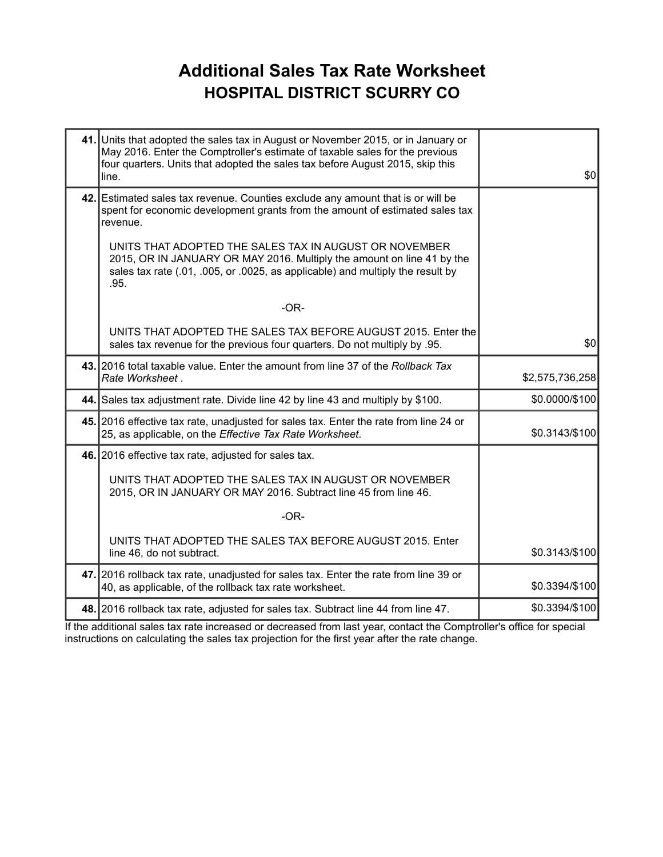### **Additional Sales Tax Rate Worksheet HOSPITAL DISTRICT SCURRY CO**

| 41. Units that adopted the sales tax in August or November 2015, or in January or<br>May 2016. Enter the Comptroller's estimate of taxable sales for the previous<br>four quarters. Units that adopted the sales tax before August 2015, skip this<br>line. | \$0             |
|-------------------------------------------------------------------------------------------------------------------------------------------------------------------------------------------------------------------------------------------------------------|-----------------|
| 42. Estimated sales tax revenue. Counties exclude any amount that is or will be<br>spent for economic development grants from the amount of estimated sales tax<br>revenue.                                                                                 |                 |
| UNITS THAT ADOPTED THE SALES TAX IN AUGUST OR NOVEMBER<br>2015, OR IN JANUARY OR MAY 2016. Multiply the amount on line 41 by the<br>sales tax rate (.01, .005, or .0025, as applicable) and multiply the result by<br>.95.                                  |                 |
| $-OR-$                                                                                                                                                                                                                                                      |                 |
| UNITS THAT ADOPTED THE SALES TAX BEFORE AUGUST 2015. Enter the<br>sales tax revenue for the previous four quarters. Do not multiply by .95.                                                                                                                 | \$0             |
| 43. 2016 total taxable value. Enter the amount from line 37 of the Rollback Tax<br>Rate Worksheet.                                                                                                                                                          | \$2,575,736,258 |
| 44. Sales tax adjustment rate. Divide line 42 by line 43 and multiply by \$100.                                                                                                                                                                             | \$0.0000/\$100  |
| 45. 2016 effective tax rate, unadjusted for sales tax. Enter the rate from line 24 or<br>25, as applicable, on the Effective Tax Rate Worksheet.                                                                                                            | \$0.3143/\$100  |
| 46. 2016 effective tax rate, adjusted for sales tax.                                                                                                                                                                                                        |                 |
| UNITS THAT ADOPTED THE SALES TAX IN AUGUST OR NOVEMBER<br>2015, OR IN JANUARY OR MAY 2016. Subtract line 45 from line 46.                                                                                                                                   |                 |
| $-OR-$                                                                                                                                                                                                                                                      |                 |
| UNITS THAT ADOPTED THE SALES TAX BEFORE AUGUST 2015. Enter<br>line 46, do not subtract.                                                                                                                                                                     | \$0.3143/\$100  |
| 47. 2016 rollback tax rate, unadjusted for sales tax. Enter the rate from line 39 or<br>40, as applicable, of the rollback tax rate worksheet.                                                                                                              | \$0.3394/\$100  |
| 48. 2016 rollback tax rate, adjusted for sales tax. Subtract line 44 from line 47.                                                                                                                                                                          | \$0.3394/\$100  |

If the additional sales tax rate increased or decreased from last year, contact the Comptroller's office for special instructions on calculating the sales tax projection for the first year after the rate change.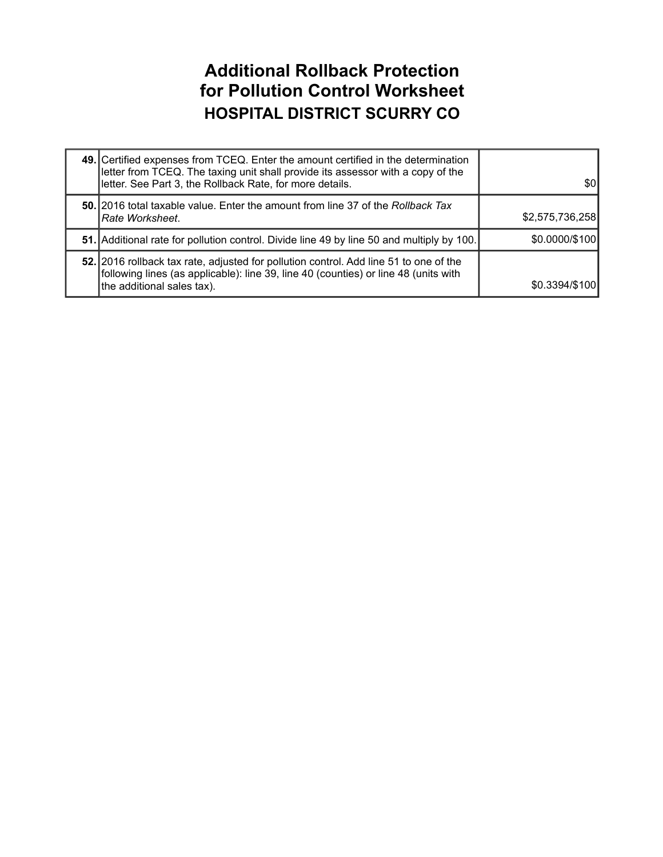#### **Additional Rollback Protection for Pollution Control Worksheet HOSPITAL DISTRICT SCURRY CO**

| 49. Certified expenses from TCEQ. Enter the amount certified in the determination<br>letter from TCEQ. The taxing unit shall provide its assessor with a copy of the<br>letter. See Part 3, the Rollback Rate, for more details. | \$01            |
|----------------------------------------------------------------------------------------------------------------------------------------------------------------------------------------------------------------------------------|-----------------|
| 50. 2016 total taxable value. Enter the amount from line 37 of the Rollback Tax<br>I <i>Rate Worksheet.</i>                                                                                                                      | \$2,575,736,258 |
| 51. Additional rate for pollution control. Divide line 49 by line 50 and multiply by 100.                                                                                                                                        | \$0.0000/\$100  |
| 52. 2016 rollback tax rate, adjusted for pollution control. Add line 51 to one of the<br>following lines (as applicable): line 39, line 40 (counties) or line 48 (units with<br>the additional sales tax).                       | \$0.3394/\$100  |